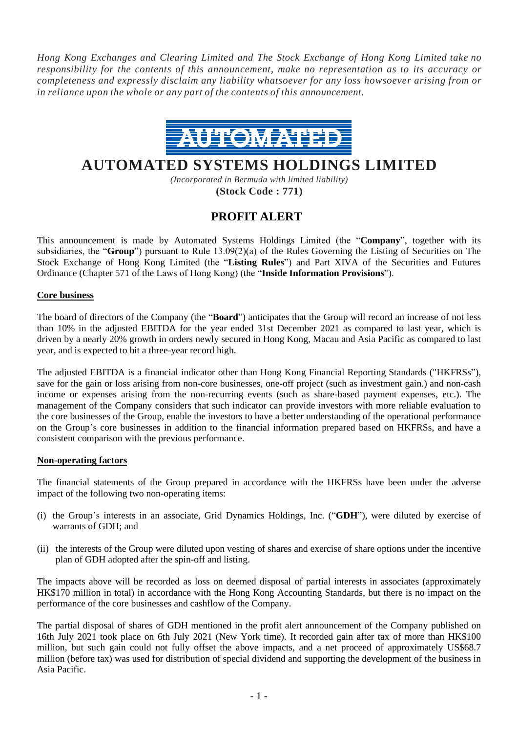*Hong Kong Exchanges and Clearing Limited and The Stock Exchange of Hong Kong Limited take no responsibility for the contents of this announcement, make no representation as to its accuracy or completeness and expressly disclaim any liability whatsoever for any loss howsoever arising from or in reliance upon the whole or any part of the contents of this announcement.*



# **AUTOMATED SYSTEMS HOLDINGS LIMITED**

*(Incorporated in Bermuda with limited liability)* **(Stock Code : 771)**

# **PROFIT ALERT**

This announcement is made by Automated Systems Holdings Limited (the "**Company**", together with its subsidiaries, the "**Group**") pursuant to Rule 13.09(2)(a) of the Rules Governing the Listing of Securities on The Stock Exchange of Hong Kong Limited (the "**Listing Rules**") and Part XIVA of the Securities and Futures Ordinance (Chapter 571 of the Laws of Hong Kong) (the "**Inside Information Provisions**").

## **Core business**

The board of directors of the Company (the "**Board**") anticipates that the Group will record an increase of not less than 10% in the adjusted EBITDA for the year ended 31st December 2021 as compared to last year, which is driven by a nearly 20% growth in orders newly secured in Hong Kong, Macau and Asia Pacific as compared to last year, and is expected to hit a three-year record high.

The adjusted EBITDA is a financial indicator other than Hong Kong Financial Reporting Standards ("HKFRSs"), save for the gain or loss arising from non-core businesses, one-off project (such as investment gain.) and non-cash income or expenses arising from the non-recurring events (such as share-based payment expenses, etc.). The management of the Company considers that such indicator can provide investors with more reliable evaluation to the core businesses of the Group, enable the investors to have a better understanding of the operational performance on the Group's core businesses in addition to the financial information prepared based on HKFRSs, and have a consistent comparison with the previous performance.

### **Non-operating factors**

The financial statements of the Group prepared in accordance with the HKFRSs have been under the adverse impact of the following two non-operating items:

- (i) the Group's interests in an associate, Grid Dynamics Holdings, Inc. ("**GDH**"), were diluted by exercise of warrants of GDH; and
- (ii) the interests of the Group were diluted upon vesting of shares and exercise of share options under the incentive plan of GDH adopted after the spin-off and listing.

The impacts above will be recorded as loss on deemed disposal of partial interests in associates (approximately HK\$170 million in total) in accordance with the Hong Kong Accounting Standards, but there is no impact on the performance of the core businesses and cashflow of the Company.

The partial disposal of shares of GDH mentioned in the profit alert announcement of the Company published on 16th July 2021 took place on 6th July 2021 (New York time). It recorded gain after tax of more than HK\$100 million, but such gain could not fully offset the above impacts, and a net proceed of approximately US\$68.7 million (before tax) was used for distribution of special dividend and supporting the development of the business in Asia Pacific.